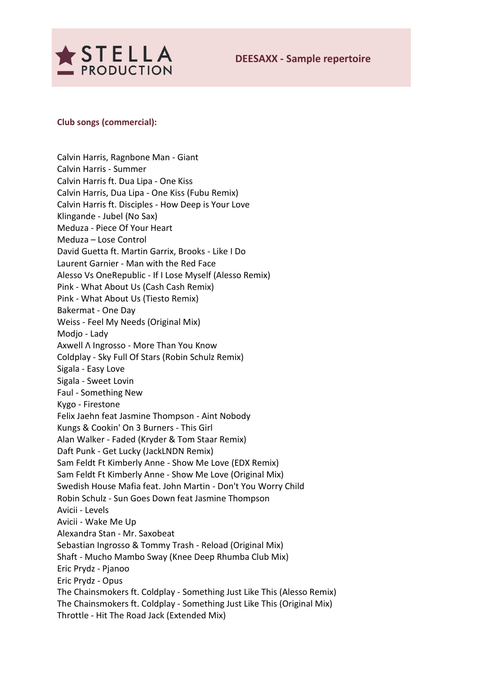

## **Club songs (commercial):**

Calvin Harris, Ragnbone Man - Giant Calvin Harris - Summer Calvin Harris ft. Dua Lipa - One Kiss Calvin Harris, Dua Lipa - One Kiss (Fubu Remix) Calvin Harris ft. Disciples - How Deep is Your Love Klingande - Jubel (No Sax) Meduza - Piece Of Your Heart Meduza – Lose Control David Guetta ft. Martin Garrix, Brooks - Like I Do Laurent Garnier - Man with the Red Face Alesso Vs OneRepublic - If I Lose Myself (Alesso Remix) Pink - What About Us (Cash Cash Remix) Pink - What About Us (Tiesto Remix) Bakermat - One Day Weiss - Feel My Needs (Original Mix) Modjo - Lady Axwell Λ Ingrosso - More Than You Know Coldplay - Sky Full Of Stars (Robin Schulz Remix) Sigala - Easy Love Sigala - Sweet Lovin Faul - Something New Kygo - Firestone Felix Jaehn feat Jasmine Thompson - Aint Nobody Kungs & Cookin' On 3 Burners - This Girl Alan Walker - Faded (Kryder & Tom Staar Remix) Daft Punk - Get Lucky (JackLNDN Remix) Sam Feldt Ft Kimberly Anne - Show Me Love (EDX Remix) Sam Feldt Ft Kimberly Anne - Show Me Love (Original Mix) Swedish House Mafia feat. John Martin - Don't You Worry Child Robin Schulz - Sun Goes Down feat Jasmine Thompson Avicii - Levels Avicii - Wake Me Up Alexandra Stan - Mr. Saxobeat Sebastian Ingrosso & Tommy Trash - Reload (Original Mix) Shaft - Mucho Mambo Sway (Knee Deep Rhumba Club Mix) Eric Prydz - Pjanoo Eric Prydz - Opus The Chainsmokers ft. Coldplay - Something Just Like This (Alesso Remix) The Chainsmokers ft. Coldplay - Something Just Like This (Original Mix) Throttle - Hit The Road Jack (Extended Mix)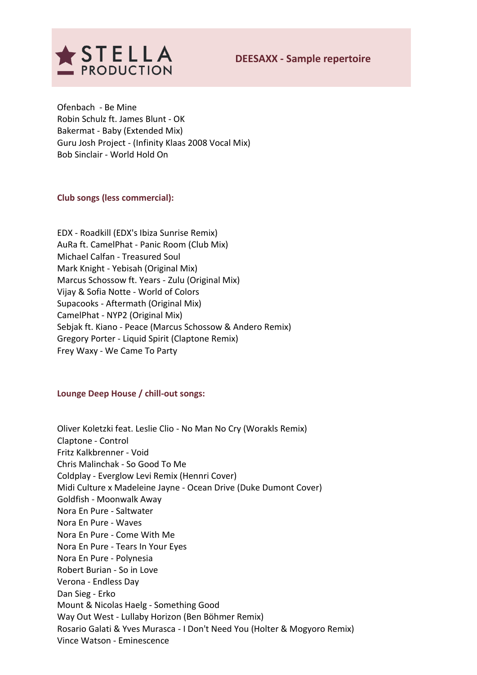

Ofenbach - Be Mine Robin Schulz ft. James Blunt - OK Bakermat - Baby (Extended Mix) Guru Josh Project - (Infinity Klaas 2008 Vocal Mix) Bob Sinclair - World Hold On

# **Club songs (less commercial):**

EDX - Roadkill (EDX's Ibiza Sunrise Remix) AuRa ft. CamelPhat - Panic Room (Club Mix) Michael Calfan - Treasured Soul Mark Knight - Yebisah (Original Mix) Marcus Schossow ft. Years - Zulu (Original Mix) Vijay & Sofia Notte - World of Colors Supacooks - Aftermath (Original Mix) CamelPhat - NYP2 (Original Mix) Sebjak ft. Kiano - Peace (Marcus Schossow & Andero Remix) Gregory Porter - Liquid Spirit (Claptone Remix) Frey Waxy - We Came To Party

### **Lounge Deep House / chill-out songs:**

Oliver Koletzki feat. Leslie Clio - No Man No Cry (Worakls Remix) Claptone - Control Fritz Kalkbrenner - Void Chris Malinchak - So Good To Me Coldplay - Everglow Levi Remix (Hennri Cover) Midi Culture x Madeleine Jayne - Ocean Drive (Duke Dumont Cover) Goldfish - Moonwalk Away Nora En Pure - Saltwater Nora En Pure - Waves Nora En Pure - Come With Me Nora En Pure - Tears In Your Eyes Nora En Pure - Polynesia Robert Burian - So in Love Verona - Endless Day Dan Sieg - Erko Mount & Nicolas Haelg - Something Good Way Out West - Lullaby Horizon (Ben Böhmer Remix) Rosario Galati & Yves Murasca - I Don't Need You (Holter & Mogyoro Remix) Vince Watson - Eminescence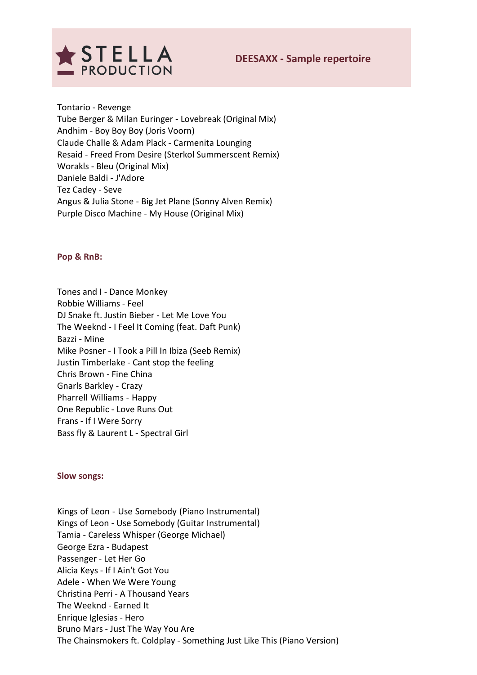

Tontario - Revenge Tube Berger & Milan Euringer - Lovebreak (Original Mix) Andhim - Boy Boy Boy (Joris Voorn) Claude Challe & Adam Plack - Carmenita Lounging Resaid - Freed From Desire (Sterkol Summerscent Remix) Worakls - Bleu (Original Mix) Daniele Baldi - J'Adore Tez Cadey - Seve Angus & Julia Stone - Big Jet Plane (Sonny Alven Remix) Purple Disco Machine - My House (Original Mix)

### **Pop & RnB:**

Tones and I - Dance Monkey Robbie Williams - Feel DJ Snake ft. Justin Bieber - Let Me Love You The Weeknd - I Feel It Coming (feat. Daft Punk) Bazzi - Mine Mike Posner - I Took a Pill In Ibiza (Seeb Remix) Justin Timberlake - Cant stop the feeling Chris Brown - Fine China Gnarls Barkley - Crazy Pharrell Williams - Happy One Republic - Love Runs Out Frans - If I Were Sorry Bass fly & Laurent L - Spectral Girl

**Slow songs:**

Kings of Leon - Use Somebody (Piano Instrumental) Kings of Leon - Use Somebody (Guitar Instrumental) Tamia - Careless Whisper (George Michael) George Ezra - Budapest Passenger - Let Her Go Alicia Keys - If I Ain't Got You Adele - When We Were Young Christina Perri - A Thousand Years The Weeknd - Earned It Enrique Iglesias - Hero Bruno Mars - Just The Way You Are The Chainsmokers ft. Coldplay - Something Just Like This (Piano Version)